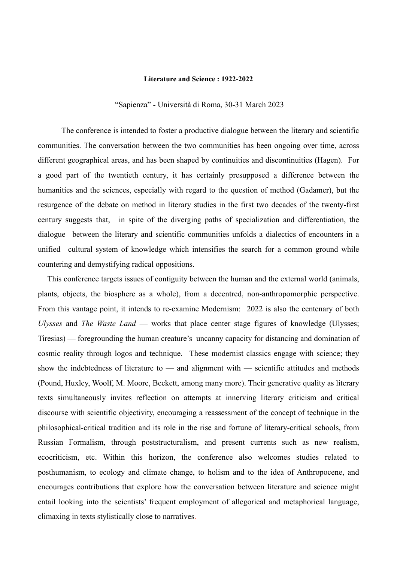## **Literature and Science : 1922-2022**

"Sapienza" - Università di Roma, 30-31 March 2023

The conference is intended to foster a productive dialogue between the literary and scientific communities. The conversation between the two communities has been ongoing over time, across different geographical areas, and has been shaped by continuities and discontinuities (Hagen). For a good part of the twentieth century, it has certainly presupposed a difference between the humanities and the sciences, especially with regard to the question of method (Gadamer), but the resurgence of the debate on method in literary studies in the first two decades of the twenty-first century suggests that, in spite of the diverging paths of specialization and differentiation, the dialogue between the literary and scientific communities unfolds a dialectics of encounters in a unified cultural system of knowledge which intensifies the search for a common ground while countering and demystifying radical oppositions.

This conference targets issues of contiguity between the human and the external world (animals, plants, objects, the biosphere as a whole), from a decentred, non-anthropomorphic perspective. From this vantage point, it intends to re-examine Modernism: 2022 is also the centenary of both *Ulysses* and *The Waste Land* — works that place center stage figures of knowledge (Ulysses; Tiresias) — foregrounding the human creature's uncanny capacity for distancing and domination of cosmic reality through logos and technique. These modernist classics engage with science; they show the indebtedness of literature to  $-$  and alignment with  $-$  scientific attitudes and methods (Pound, Huxley, Woolf, M. Moore, Beckett, among many more). Their generative quality as literary texts simultaneously invites reflection on attempts at innerving literary criticism and critical discourse with scientific objectivity, encouraging a reassessment of the concept of technique in the philosophical-critical tradition and its role in the rise and fortune of literary-critical schools, from Russian Formalism, through poststructuralism, and present currents such as new realism, ecocriticism, etc. Within this horizon, the conference also welcomes studies related to posthumanism, to ecology and climate change, to holism and to the idea of Anthropocene, and encourages contributions that explore how the conversation between literature and science might entail looking into the scientists' frequent employment of allegorical and metaphorical language, climaxing in texts stylistically close to narratives.